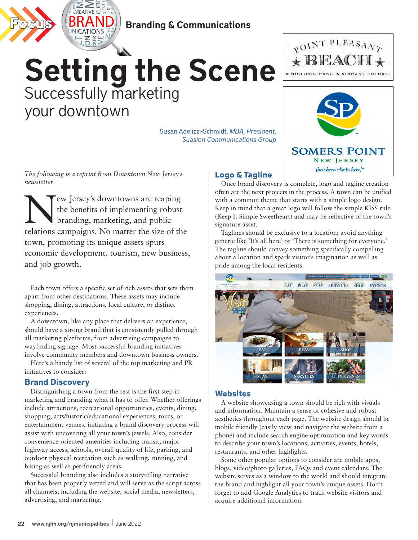

#### Branding & Communications

### Setting the Scene Successfully marketing your downtown

Susan Adelizzi-Schmidt, *MBA, President, Suasion Communications Group*

*The following is a reprint from Downtown New Jersey's newsletter.* 

New Jersey's downtowns are reaping<br>the benefits of implementing robust<br>branding, marketing, and public the benefits of implementing robust branding, marketing, and public relations campaigns. No matter the size of the town, promoting its unique assets spurs economic development, tourism, new business, and job growth.

Each town offers a specific set of rich assets that sets them apart from other destinations. These assets may include shopping, dining, attractions, local culture, or distinct experiences.

A downtown, like any place that delivers an experience, should have a strong brand that is consistently pulled through all marketing platforms, from advertising campaigns to wayfinding signage. Most successful branding initiatives involve community members and downtown business owners.

Here's a handy list of several of the top marketing and PR initiatives to consider:

#### **Brand Discovery**

Distinguishing a town from the rest is the first step in marketing and branding what it has to offer. Whether offerings include attractions, recreational opportunities, events, dining, shopping, arts/historic/educational experiences, tours, or entertainment venues, initiating a brand discovery process will assist with uncovering all your town's jewels. Also, consider convenience-oriented amenities including transit, major highway access, schools, overall quality of life, parking, and outdoor physical recreation such as walking, running, and biking as well as pet-friendly areas.

Successful branding also includes a storytelling narrative that has been properly vetted and will serve as the script across all channels, including the website, social media, newsletters, advertising, and marketing.





#### **Logo & Tagline**

Once brand discovery is complete, logo and tagline creation often are the next projects in the process. A town can be unified with a common theme that starts with a simple logo design. Keep in mind that a great logo will follow the simple KISS rule (Keep It Simple Sweetheart) and may be reflective of the town's signature asset.

Taglines should be exclusive to a location; avoid anything generic like 'It's all here' or 'There is something for everyone.' The tagline should convey something specifically compelling about a location and spark visitor's imagination as well as pride among the local residents.



#### **Websites**

A website showcasing a town should be rich with visuals and information. Maintain a sense of cohesive and robust aesthetics throughout each page. The website design should be mobile friendly (easily view and navigate the website from a phone) and include search engine optimization and key words to describe your town's locations, activities, events, hotels, restaurants, and other highlights.

Some other popular options to consider are mobile apps, blogs, video/photo galleries, FAQs and event calendars. The website serves as a window to the world and should integrate the brand and highlight all your town's unique assets. Don't forget to add Google Analytics to track website visitors and acquire additional information.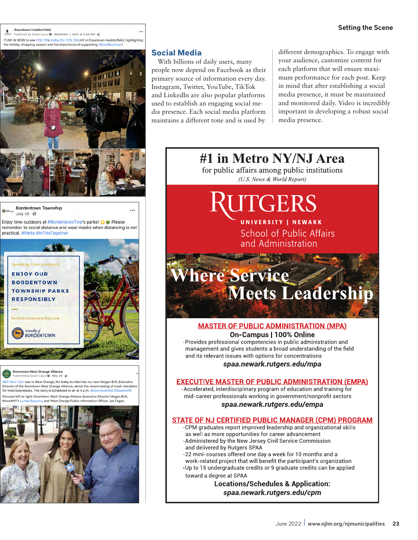#### Downtown Haddonfield

hed by Susan Laura @ · December 7, 2021 at 5:58 PM · @ TUNE IN NOW to see FOX 29's Kathy Orr FOX 29 LIVE in Downtown Haddonfield, highlighting the holiday shopping season and the importance of supporting #Sm



**Bordentown Township** July 28 - @

Enjoy time outdoors at #BordentownTwp's parks!  $\Box \Leftrightarrow$  Please remember to social distance and wear masks when distancing is not practical, #Parks #InThisTogether



**Downtown West Orange Alliance** shed by Susan Laura @ - May 28 - @

was in West Orange, NJ today to interview our own Megan Brill, Executive Director of the Downtown West Orange Alliance, about the recent easing of mask mandates<br>for most businesses. The story is scheduled to air at 5 p.m. #DowntownWO #SuasionPR ft to right: Downtown West Orange Alliance Executive Director Megan Brill,

o, and West Orange Public Information Officer Joe Fagar



#### **Social Media**

With billions of daily users, many people now depend on Facebook as their primary source of information every day. Instagram, Twitter, YouTube, TikTok and LinkedIn are also popular platforms used to establish an engaging social media presence. Each social media platform maintains a different tone and is used by

different demographics. To engage with your audience, customize content for each platform that will ensure maximum performance for each post. Keep in mind that after establishing a social media presence, it must be maintained and monitored daily. Video is incredibly important in developing a robust social media presence.

#1 in Metro NY/NJ Area

for public affairs among public institutions (U.S. News & World Report)

# ITGERS

UNIVERSITY | NEWARK School of Public Affairs and Administration

### here Service Meets Leadership

#### **MASTER OF PUBLIC ADMINISTRATION (MPA)** On-Campus | 100% Online

-Provides professional competencies in public administration and management and gives students a broad understanding of the field and its relevant issues with options for concentrations

spaa.newark.rutgers.edu/mpa

#### **EXECUTIVE MASTER OF PUBLIC ADMINISTRATION (EMPA)**

-Accelerated, interdisciplinary program of education and training for mid-career professionals working in government/nonprofit sectors

#### spaa.newark.rutgers.edu/empa

#### **STATE OF NJ CERTIFIED PUBLIC MANAGER (CPM) PROGRAM**

-CPM graduates report improved leadership and organizational skills as well as more opportunities for career advancement -Administered by the New Jersey Civil Service Commission and delivered by Rutgers SPAA

-22 mini-courses offered one day a week for 10 months and a work-related project that will benefit the participant's organization -Up to 15 undergraduate credits or 9 graduate credits can be applied

toward a degree at SPAA

**Locations/Schedules & Application:** spaa.newark.rutgers.edu/cpm